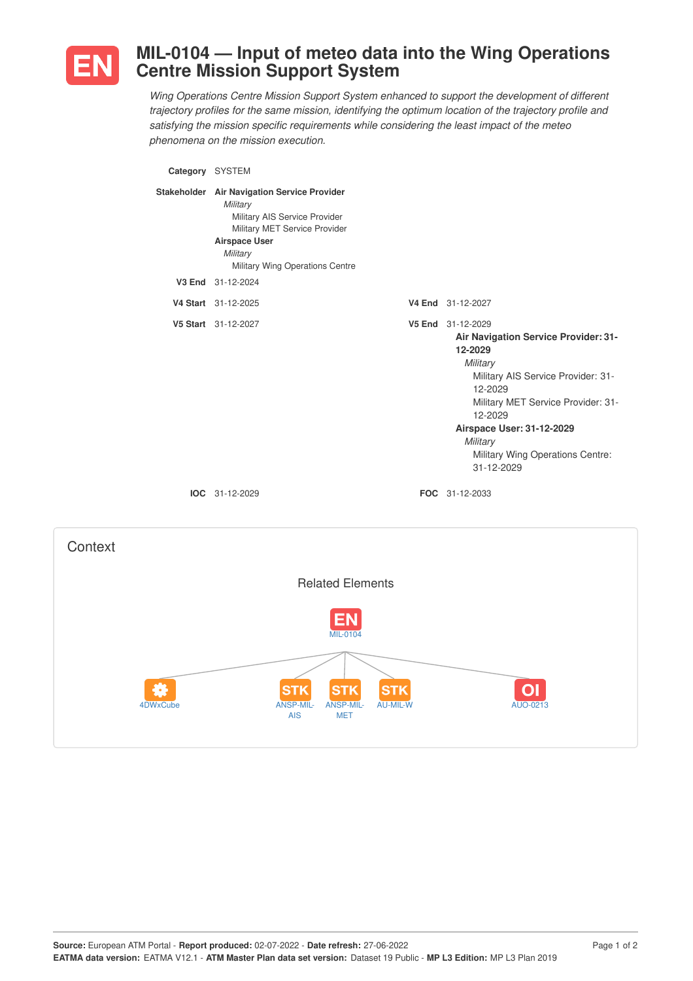

## **MIL-0104 — Input of meteo data into the Wing Operations Centre Mission Support System**

*Wing Operations Centre Mission Support System enhanced to support the development of different trajectory profiles for the same mission, identifying the optimum location of the trajectory profile and satisfying the mission specific requirements while considering the least impact of the meteo phenomena on the mission execution.*

| Category SYSTEM |                                                                                                                                                                                                                       |                                                                                                                                                                                                                                                                               |
|-----------------|-----------------------------------------------------------------------------------------------------------------------------------------------------------------------------------------------------------------------|-------------------------------------------------------------------------------------------------------------------------------------------------------------------------------------------------------------------------------------------------------------------------------|
|                 | Stakeholder Air Navigation Service Provider<br>Military<br>Military AIS Service Provider<br>Military MET Service Provider<br><b>Airspace User</b><br>Military<br>Military Wing Operations Centre<br>V3 End 31-12-2024 |                                                                                                                                                                                                                                                                               |
|                 | V4 Start 31-12-2025                                                                                                                                                                                                   | V4 End 31-12-2027                                                                                                                                                                                                                                                             |
|                 | V5 Start 31-12-2027                                                                                                                                                                                                   | V5 End 31-12-2029<br>Air Navigation Service Provider: 31-<br>12-2029<br>Military<br>Military AIS Service Provider: 31-<br>12-2029<br>Military MET Service Provider: 31-<br>12-2029<br>Airspace User: 31-12-2029<br>Military<br>Military Wing Operations Centre:<br>31-12-2029 |
|                 | IOC 31-12-2029                                                                                                                                                                                                        | FOC 31-12-2033                                                                                                                                                                                                                                                                |
| Context         |                                                                                                                                                                                                                       |                                                                                                                                                                                                                                                                               |
|                 | <b>Related Elements</b>                                                                                                                                                                                               |                                                                                                                                                                                                                                                                               |
|                 | <b>The County</b>                                                                                                                                                                                                     |                                                                                                                                                                                                                                                                               |